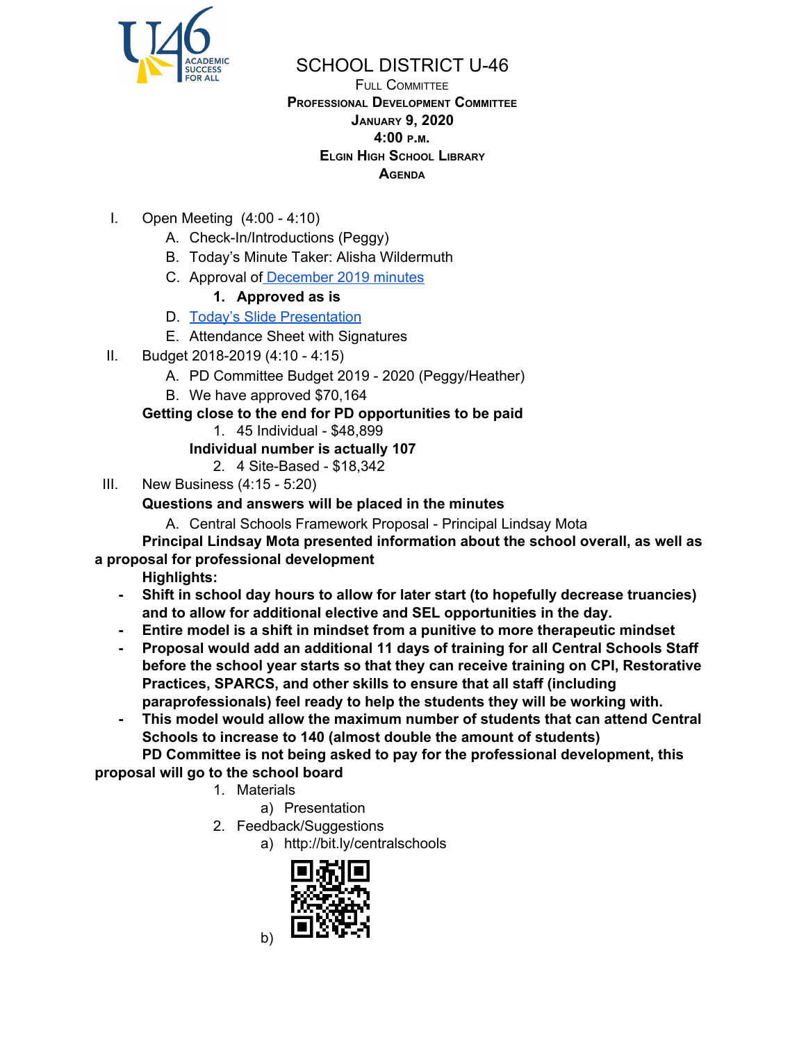

# SCHOOL DISTRICT U-46

FULL COMMITTEE **PROFESSIONAL DEVELOPMENT COMMITTEE JANUARY 9, 2020 4:00 <sup>P</sup>.M. ELGIN HIGH SCHOOL LIBRARY AGENDA**

- I. Open Meeting (4:00 4:10)
	- A. Check-In/Introductions (Peggy)
	- B. Today's Minute Taker: Alisha Wildermuth
	- C. Approval of [December](https://www.u-46.org/site/handlers/filedownload.ashx?moduleinstanceid=23441&dataid=45013&FileName=12-5-19%20Minutes%20FC%20.pdf) 2019 minutes
		- **1. Approved as is**
	- D. Today's Slide [Presentation](https://docs.google.com/presentation/d/1vZpGaqhJrS6OiVPQ0nNW2Uya7gqyvIgouW3KHcI_NDk/edit?usp=sharing)
	- E. Attendance Sheet with Signatures
- II. Budget 2018-2019 (4:10 4:15)
	- A. PD Committee Budget 2019 2020 (Peggy/Heather)
	- B. We have approved \$70,164

## **Getting close to the end for PD opportunities to be paid**

1. 45 Individual - \$48,899

## **Individual number is actually 107**

- 2. 4 Site-Based \$18,342
- III. New Business (4:15 5:20)

## **Questions and answers will be placed in the minutes**

A. Central Schools Framework Proposal - Principal Lindsay Mota

### **Principal Lindsay Mota presented information about the school overall, as well as a proposal for professional development**

**Highlights:**

- **- Shift in school day hours to allow for later start (to hopefully decrease truancies) and to allow for additional elective and SEL opportunities in the day.**
- **- Entire model is a shift in mindset from a punitive to more therapeutic mindset**
- **- Proposal would add an additional 11 days of training for all Central Schools Staff before the school year starts so that they can receive training on CPI, Restorative Practices, SPARCS, and other skills to ensure that all staff (including paraprofessionals) feel ready to help the students they will be working with.**
- **- This model would allow the maximum number of students that can attend Central Schools to increase to 140 (almost double the amount of students)**

**PD Committee is not being asked to pay for the professional development, this proposal will go to the school board**

- 1. Materials
	- a) Presentation
- 2. Feedback/Suggestions
	- a) http://bit.ly/centralschools